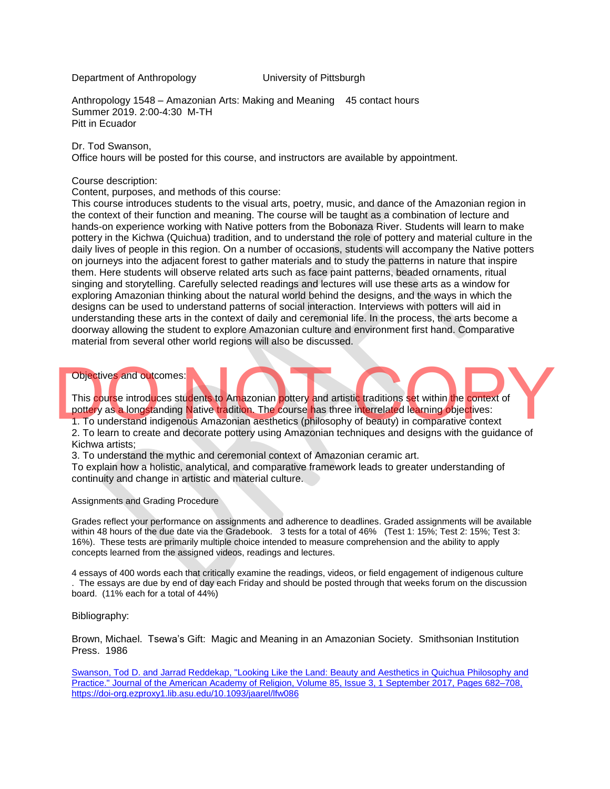Department of Anthropology University of Pittsburgh

Anthropology 1548 – Amazonian Arts: Making and Meaning 45 contact hours Summer 2019. 2:00-4:30 M-TH Pitt in Ecuador

#### Dr. Tod Swanson,

Office hours will be posted for this course, and instructors are available by appointment.

#### Course description:

Content, purposes, and methods of this course:

This course introduces students to the visual arts, poetry, music, and dance of the Amazonian region in the context of their function and meaning. The course will be taught as a combination of lecture and hands-on experience working with Native potters from the Bobonaza River. Students will learn to make pottery in the Kichwa (Quichua) tradition, and to understand the role of pottery and material culture in the daily lives of people in this region. On a number of occasions, students will accompany the Native potters on journeys into the adjacent forest to gather materials and to study the patterns in nature that inspire them. Here students will observe related arts such as face paint patterns, beaded ornaments, ritual singing and storytelling. Carefully selected readings and lectures will use these arts as a window for exploring Amazonian thinking about the natural world behind the designs, and the ways in which the designs can be used to understand patterns of social interaction. Interviews with potters will aid in understanding these arts in the context of daily and ceremonial life. In the process, the arts become a doorway allowing the student to explore Amazonian culture and environment first hand. Comparative material from several other world regions will also be discussed.

### Objectives and outcomes:

This course introduces students to Amazonian pottery and artistic traditions set within the context of pottery as a longstanding Native tradition. The course has three interrelated learning objectives: 1. To understand indigenous Amazonian aesthetics (philosophy of beauty) in comparative context Objectives and outcomes:<br>
This course introduces students to Amazonian pottery and artistic traditions set within the context of<br>
pottery as a longstanding Native tradition. The course has three interrelated learning objec

2. To learn to create and decorate pottery using Amazonian techniques and designs with the guidance of Kichwa artists;

3. To understand the mythic and ceremonial context of Amazonian ceramic art.

To explain how a holistic, analytical, and comparative framework leads to greater understanding of continuity and change in artistic and material culture.

#### Assignments and Grading Procedure

Grades reflect your performance on assignments and adherence to deadlines. Graded assignments will be available within 48 hours of the due date via the Gradebook. 3 tests for a total of 46% (Test 1: 15%; Test 2: 15%; Test 3: 16%). These tests are primarily multiple choice intended to measure comprehension and the ability to apply concepts learned from the assigned videos, readings and lectures.

4 essays of 400 words each that critically examine the readings, videos, or field engagement of indigenous culture . The essays are due by end of day each Friday and should be posted through that weeks forum on the discussion board. (11% each for a total of 44%)

#### Bibliography:

Brown, Michael. Tsewa's Gift: Magic and Meaning in an Amazonian Society. Smithsonian Institution Press. 1986

Swanson, Tod D. and Jarrad [Reddekap,](https://academic-oup-com.ezproxy1.lib.asu.edu/jaar/article/85/3/682/2936784/Looking-Like-the-Land-Beauty-and-Aesthetics-in) "Looking Like the Land: Beauty and Aesthetics in Quichua [Philosophy](https://academic-oup-com.ezproxy1.lib.asu.edu/jaar/article/85/3/682/2936784/Looking-Like-the-Land-Beauty-and-Aesthetics-in) and [Practice."](https://academic-oup-com.ezproxy1.lib.asu.edu/jaar/article/85/3/682/2936784/Looking-Like-the-Land-Beauty-and-Aesthetics-in) Journal of the American Academy of Religion, Volume 85, Issue 3, 1 [September](https://academic-oup-com.ezproxy1.lib.asu.edu/jaar/article/85/3/682/2936784/Looking-Like-the-Land-Beauty-and-Aesthetics-in) 2017, Pages 682–708, [https://doi-org.ezproxy1.lib.asu.edu/10.1093/jaarel/lfw086](https://academic-oup-com.ezproxy1.lib.asu.edu/jaar/article/85/3/682/2936784/Looking-Like-the-Land-Beauty-and-Aesthetics-in)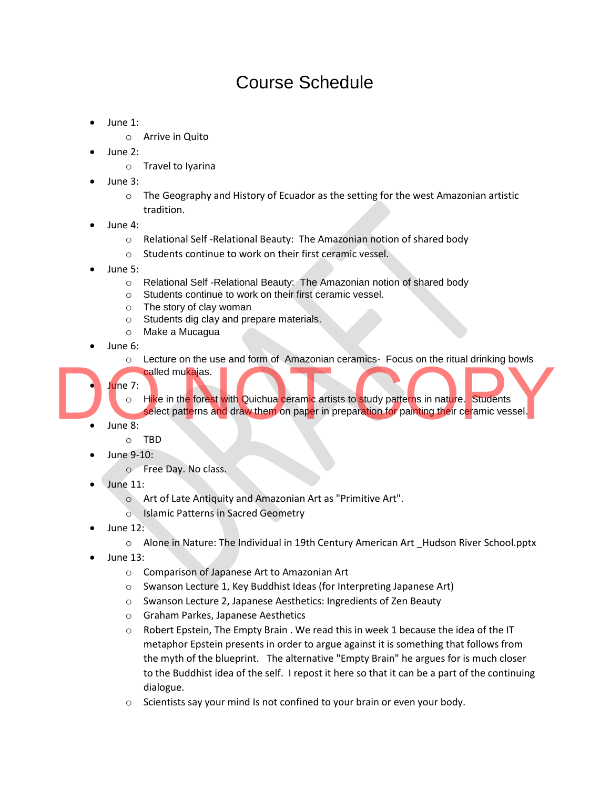## Course Schedule

- June 1:
	- o Arrive in Quito
- June 2:
	- o Travel to Iyarina
- June 3:
	- $\circ$  The Geography and History of Ecuador as the setting for the west Amazonian artistic tradition.
- June 4:
	- o Relational Self -Relational Beauty: The Amazonian notion of shared body
	- o Students continue to work on their first ceramic vessel.
- June 5:
	- o Relational Self -Relational Beauty: The Amazonian notion of shared body
	- o Students continue to work on their first ceramic vessel.
	- o The story of clay woman
	- o Students dig clay and prepare materials.
	- o Make a Mucagua
- June 6:
	- o Lecture on the use and form of Amazonian ceramics- Focus on the ritual drinking bowls
	- called mukajas.
	- June 7:
		- $\circ$  Hike in the forest with Quichua ceramic artists to study patterns in nature. Students
- select patterns and draw them on paper in preparation for painting their ceramic vessel. Select patterns and draw them on paper in preparation for painting their ceramic vessel.
	- June 8:
		- o TBD
		- June 9-10:
			- o Free Day. No class.
	- June 11:
		- o Art of Late Antiquity and Amazonian Art as "Primitive Art".
		- o Islamic Patterns in Sacred Geometry
	- June 12:
		- o Alone in Nature: The Individual in 19th Century American Art \_Hudson River School.pptx
	- June 13:
		- o Comparison of Japanese Art to Amazonian Art
		- o Swanson Lecture 1, Key Buddhist Ideas (for Interpreting Japanese Art)
		- o Swanson Lecture 2, Japanese Aesthetics: Ingredients of Zen Beauty
		- o Graham Parkes, Japanese Aesthetics
		- $\circ$  Robert Epstein, The Empty Brain . We read this in week 1 because the idea of the IT metaphor Epstein presents in order to argue against it is something that follows from the myth of the blueprint. The alternative "Empty Brain" he argues for is much closer to the Buddhist idea of the self. I repost it here so that it can be a part of the continuing dialogue.
		- o Scientists say your mind Is not confined to your brain or even your body.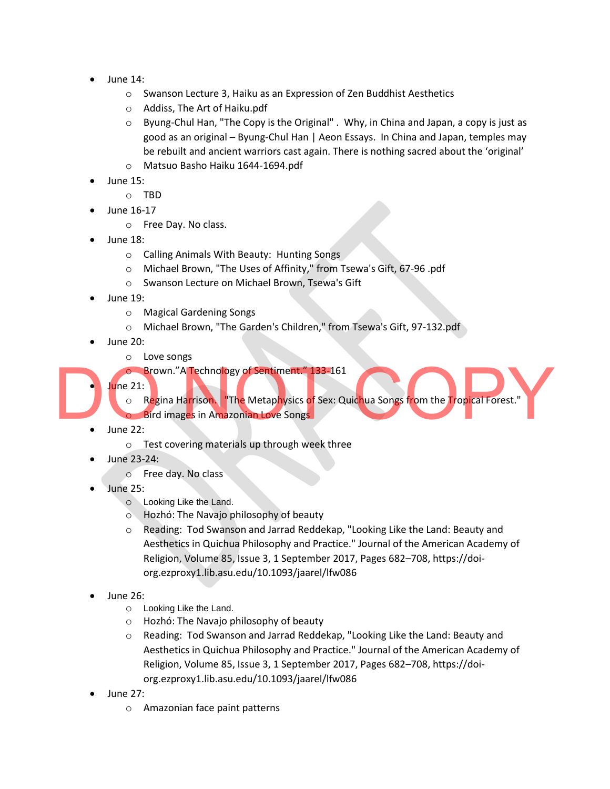- June 14:
	- o Swanson Lecture 3, Haiku as an Expression of Zen Buddhist Aesthetics
	- o Addiss, The Art of Haiku.pdf
	- $\circ$  Byung-Chul Han, "The Copy is the Original". Why, in China and Japan, a copy is just as good as an original – Byung-Chul Han | Aeon Essays. In China and Japan, temples may be rebuilt and ancient warriors cast again. There is nothing sacred about the 'original'
	- o Matsuo Basho Haiku 1644-1694.pdf
- June 15:
	- o TBD
- June 16-17
	- o Free Day. No class.
- June 18:
	- o Calling Animals With Beauty: Hunting Songs
	- o Michael Brown, "The Uses of Affinity," from Tsewa's Gift, 67-96 .pdf
	- o Swanson Lecture on Michael Brown, Tsewa's Gift
- June 19:
	- o Magical Gardening Songs
	- o Michael Brown, "The Garden's Children," from Tsewa's Gift, 97-132.pdf
- June 20:
	- o Love songs
	- o Brown."A Technology of Sentiment." 133-161
- June 21:

○ R<mark>eg</mark>ina Ha<mark>rrison、</mark>"The Metap<mark>h</mark>ysics <mark>of</mark> Sex: Quic<mark>h</mark>ua Songs from the Tropical Forest." Brown."A Technology of Sentiment." 133-161<br>
o Regina Harrison, "The Metaphysics of Sex: Quichua Songs from the Tropical Forest."<br>
Bird images in Amazonian Love Songs<br>
June 22:

- **o** Bird images in Amazonian Love Songs
- June 22:
	- o Test covering materials up through week three
- June 23-24:
	- o Free day. No class
- June 25:
	- o Looking Like the Land.
	- o [Hozhó: The Navajo philosophy of beauty](https://soundcloud.com/lylajune/hozho)
	- o Reading: [Tod Swanson and Jarrad Reddekap, "Looking Like the Land: Beauty and](https://academic-oup-com.ezproxy1.lib.asu.edu/jaar/article/85/3/682/2936784/Looking-Like-the-Land-Beauty-and-Aesthetics-in)  Aesthetics in Quichua [Philosophy and Practice."](https://academic-oup-com.ezproxy1.lib.asu.edu/jaar/article/85/3/682/2936784/Looking-Like-the-Land-Beauty-and-Aesthetics-in) [Journal of the American Academy of](https://academic-oup-com.ezproxy1.lib.asu.edu/jaar/article/85/3/682/2936784/Looking-Like-the-Land-Beauty-and-Aesthetics-in)  [Religion, Volume 85, Issue 3, 1 September 2017, Pages 682](https://academic-oup-com.ezproxy1.lib.asu.edu/jaar/article/85/3/682/2936784/Looking-Like-the-Land-Beauty-and-Aesthetics-in)–708, https://doi[org.ezproxy1.lib.asu.edu/10.1093/jaarel/lfw086](https://academic-oup-com.ezproxy1.lib.asu.edu/jaar/article/85/3/682/2936784/Looking-Like-the-Land-Beauty-and-Aesthetics-in)
- June 26:
	- o Looking Like the Land.
	- o [Hozhó: The Navajo philosophy of beauty](https://soundcloud.com/lylajune/hozho)
	- o Reading: [Tod Swanson and Jarrad Reddekap, "Looking Like the Land: Beauty and](https://academic-oup-com.ezproxy1.lib.asu.edu/jaar/article/85/3/682/2936784/Looking-Like-the-Land-Beauty-and-Aesthetics-in)  Aesthetics in Quichua [Philosophy and Practice."](https://academic-oup-com.ezproxy1.lib.asu.edu/jaar/article/85/3/682/2936784/Looking-Like-the-Land-Beauty-and-Aesthetics-in) [Journal of the American Academy of](https://academic-oup-com.ezproxy1.lib.asu.edu/jaar/article/85/3/682/2936784/Looking-Like-the-Land-Beauty-and-Aesthetics-in)  [Religion, Volume 85, Issue 3, 1 September 2017, Pages 682](https://academic-oup-com.ezproxy1.lib.asu.edu/jaar/article/85/3/682/2936784/Looking-Like-the-Land-Beauty-and-Aesthetics-in)–708, https://doi[org.ezproxy1.lib.asu.edu/10.1093/jaarel/lfw086](https://academic-oup-com.ezproxy1.lib.asu.edu/jaar/article/85/3/682/2936784/Looking-Like-the-Land-Beauty-and-Aesthetics-in)
- June 27:
	- o Amazonian face paint patterns